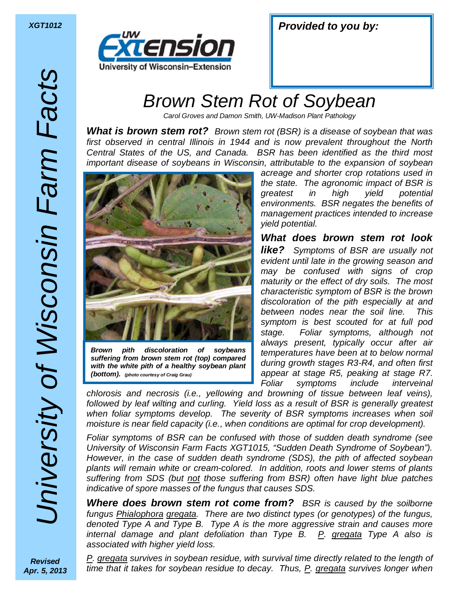

| <b>XGT1012</b> |  |  | <b>Provided to you by:</b> |
|----------------|--|--|----------------------------|
|----------------|--|--|----------------------------|

## Brown Stem Rot of Soybean

Carol Groves and Damon Smith, UW-Madison Plant Pathology

*What is brown stem rot?* Brown stem rot (BSR) is a disease of soybean that was first observed in central Illinois in 1944 and is now prevalent throughout the North Central States of the US, and Canada. BSR has been identified as the third most important disease of soybeans in Wisconsin, attributable to the expansion of soybean



*Brown pith discoloration of soybeans suffering from brown stem rot (top) compared with the white pith of a healthy soybean plant (bottom). (photo courtesy of Craig Grau)*

acreage and shorter crop rotations used in the state. The agronomic impact of BSR is greatest in high yield potential environments. BSR negates the benefits of management practices intended to increase yield potential.

*What does brown stem rot look like?* Symptoms of BSR are usually not evident until late in the growing season and may be confused with signs of crop maturity or the effect of dry soils. The most characteristic symptom of BSR is the brown discoloration of the pith especially at and between nodes near the soil line. This symptom is best scouted for at full pod stage. Foliar symptoms, although not always present, typically occur after air temperatures have been at to below normal during growth stages R3-R4, and often first appear at stage R5, peaking at stage R7. Foliar symptoms include interveinal

chlorosis and necrosis (i.e., yellowing and browning of tissue between leaf veins), followed by leaf wilting and curling. Yield loss as a result of BSR is generally greatest when foliar symptoms develop. The severity of BSR symptoms increases when soil moisture is near field capacity (i.e., when conditions are optimal for crop development).

Foliar symptoms of BSR can be confused with those of sudden death syndrome (see University of Wisconsin Farm Facts XGT1015, "Sudden Death Syndrome of Soybean"). However, in the case of sudden death syndrome (SDS), the pith of affected soybean plants will remain white or cream-colored. In addition, roots and lower stems of plants suffering from SDS (but not those suffering from BSR) often have light blue patches indicative of spore masses of the fungus that causes SDS.

**Where does brown stem rot come from?** BSR is caused by the soilborne fungus Phialophora gregata. There are two distinct types (or genotypes) of the fungus, denoted Type A and Type B. Type A is the more aggressive strain and causes more internal damage and plant defoliation than Type B.  $P$ . gregata Type A also is associated with higher yield loss.

P. gregata survives in soybean residue, with survival time directly related to the length of time that it takes for soybean residue to decay. Thus,  $P$ . gregata survives longer when

*Revised Apr. 5, 2013*